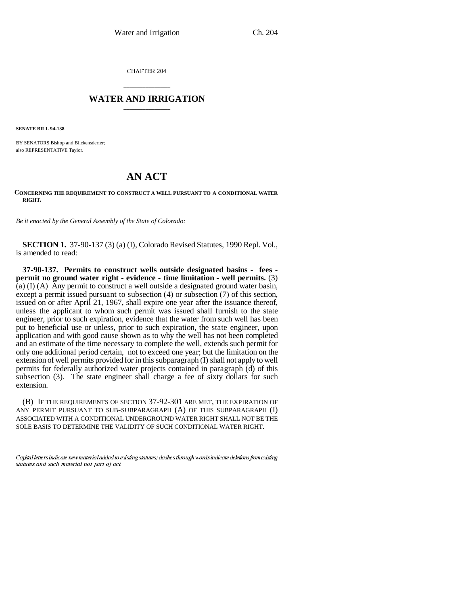CHAPTER 204

## \_\_\_\_\_\_\_\_\_\_\_\_\_\_\_ **WATER AND IRRIGATION** \_\_\_\_\_\_\_\_\_\_\_\_\_\_\_

**SENATE BILL 94-138**

BY SENATORS Bishop and Blickensderfer; also REPRESENTATIVE Taylor.

## **AN ACT**

## **CONCERNING THE REQUIREMENT TO CONSTRUCT A WELL PURSUANT TO A CONDITIONAL WATER RIGHT.**

*Be it enacted by the General Assembly of the State of Colorado:*

**SECTION 1.** 37-90-137 (3) (a) (I), Colorado Revised Statutes, 1990 Repl. Vol., is amended to read:

**37-90-137. Permits to construct wells outside designated basins - fees permit no ground water right - evidence - time limitation - well permits.** (3)  $(a)$  (I) (A) Any permit to construct a well outside a designated ground water basin, except a permit issued pursuant to subsection (4) or subsection (7) of this section, issued on or after April 21, 1967, shall expire one year after the issuance thereof, unless the applicant to whom such permit was issued shall furnish to the state engineer, prior to such expiration, evidence that the water from such well has been put to beneficial use or unless, prior to such expiration, the state engineer, upon application and with good cause shown as to why the well has not been completed and an estimate of the time necessary to complete the well, extends such permit for only one additional period certain, not to exceed one year; but the limitation on the extension of well permits provided for in this subparagraph (I) shall not apply to well permits for federally authorized water projects contained in paragraph (d) of this subsection (3). The state engineer shall charge a fee of sixty dollars for such extension.

(B) IF THE REQUIREMENTS OF SECTION 37-92-301 ARE MET, THE EXPIRATION OF ANY PERMIT PURSUANT TO SUB-SUBPARAGRAPH (A) OF THIS SUBPARAGRAPH (I) ASSOCIATED WITH A CONDITIONAL UNDERGROUND WATER RIGHT SHALL NOT BE THE SOLE BASIS TO DETERMINE THE VALIDITY OF SUCH CONDITIONAL WATER RIGHT.

Capital letters indicate new material added to existing statutes; dashes through words indicate deletions from existing statutes and such material not part of act.